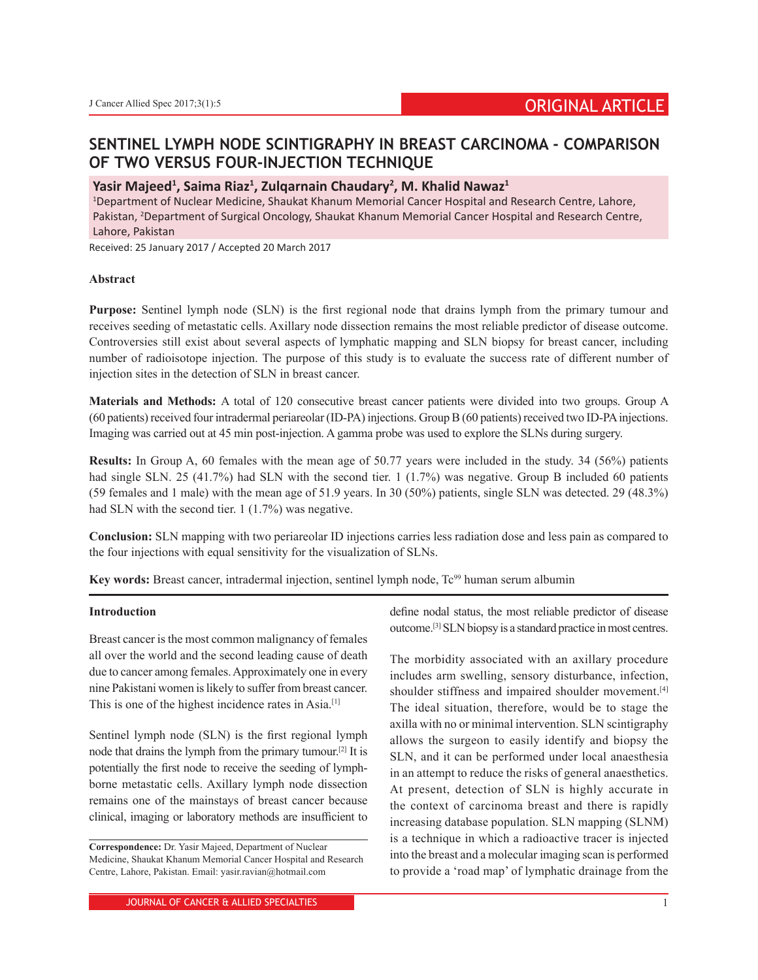# **SENTINEL LYMPH NODE SCINTIGRAPHY IN BREAST CARCINOMA - COMPARISON OF TWO VERSUS FOUR-INJECTION TECHNIQUE**

## **Yasir Majeed1 , Saima Riaz1 , Zulqarnain Chaudary2 , M. Khalid Nawaz1**

1 Department of Nuclear Medicine, Shaukat Khanum Memorial Cancer Hospital and Research Centre, Lahore, Pakistan, <sup>2</sup>Department of Surgical Oncology, Shaukat Khanum Memorial Cancer Hospital and Research Centre, Lahore, Pakistan

Received: 25 January 2017 / Accepted 20 March 2017

## **Abstract**

**Purpose:** Sentinel lymph node (SLN) is the first regional node that drains lymph from the primary tumour and receives seeding of metastatic cells. Axillary node dissection remains the most reliable predictor of disease outcome. Controversies still exist about several aspects of lymphatic mapping and SLN biopsy for breast cancer, including number of radioisotope injection. The purpose of this study is to evaluate the success rate of different number of injection sites in the detection of SLN in breast cancer.

**Materials and Methods:** A total of 120 consecutive breast cancer patients were divided into two groups. Group A (60 patients) received four intradermal periareolar (ID-PA) injections. GroupB (60 patients) received two ID-PA injections. Imaging was carried out at 45 min post-injection. A gamma probe was used to explore the SLNs during surgery.

**Results:** In Group A, 60 females with the mean age of 50.77 years were included in the study. 34 (56%) patients had single SLN. 25 (41.7%) had SLN with the second tier. 1 (1.7%) was negative. Group B included 60 patients (59 females and 1 male) with the mean age of 51.9 years. In 30 (50%) patients, single SLN was detected. 29 (48.3%) had SLN with the second tier. 1 (1.7%) was negative.

**Conclusion:** SLN mapping with two periareolar ID injections carries less radiation dose and less pain as compared to the four injections with equal sensitivity for the visualization of SLNs.

**Key words:** Breast cancer, intradermal injection, sentinel lymph node, Tc<sup>99</sup> human serum albumin

## **Introduction**

Breast cancer is the most common malignancy of females all over the world and the second leading cause of death due to cancer among females. Approximately one in every nine Pakistani women is likely to suffer from breast cancer. This is one of the highest incidence rates in Asia.<sup>[1]</sup>

Sentinel lymph node (SLN) is the first regional lymph node that drains the lymph from the primary tumour.[2] It is potentially the first node to receive the seeding of lymphborne metastatic cells. Axillary lymph node dissection remains one of the mainstays of breast cancer because clinical, imaging or laboratory methods are insufficient to

define nodal status, the most reliable predictor of disease outcome.[3] SLN biopsy is a standard practice in most centres.

The morbidity associated with an axillary procedure includes arm swelling, sensory disturbance, infection, shoulder stiffness and impaired shoulder movement.<sup>[4]</sup> The ideal situation, therefore, would be to stage the axilla with no or minimal intervention. SLN scintigraphy allows the surgeon to easily identify and biopsy the SLN, and it can be performed under local anaesthesia in an attempt to reduce the risks of general anaesthetics. At present, detection of SLN is highly accurate in the context of carcinoma breast and there is rapidly increasing database population. SLN mapping (SLNM) is a technique in which a radioactive tracer is injected into the breast and a molecular imaging scan is performed to provide a 'road map' of lymphatic drainage from the

**Correspondence:** Dr. Yasir Majeed, Department of Nuclear Medicine, Shaukat Khanum Memorial Cancer Hospital and Research Centre, Lahore, Pakistan. Email: yasir.ravian@hotmail.com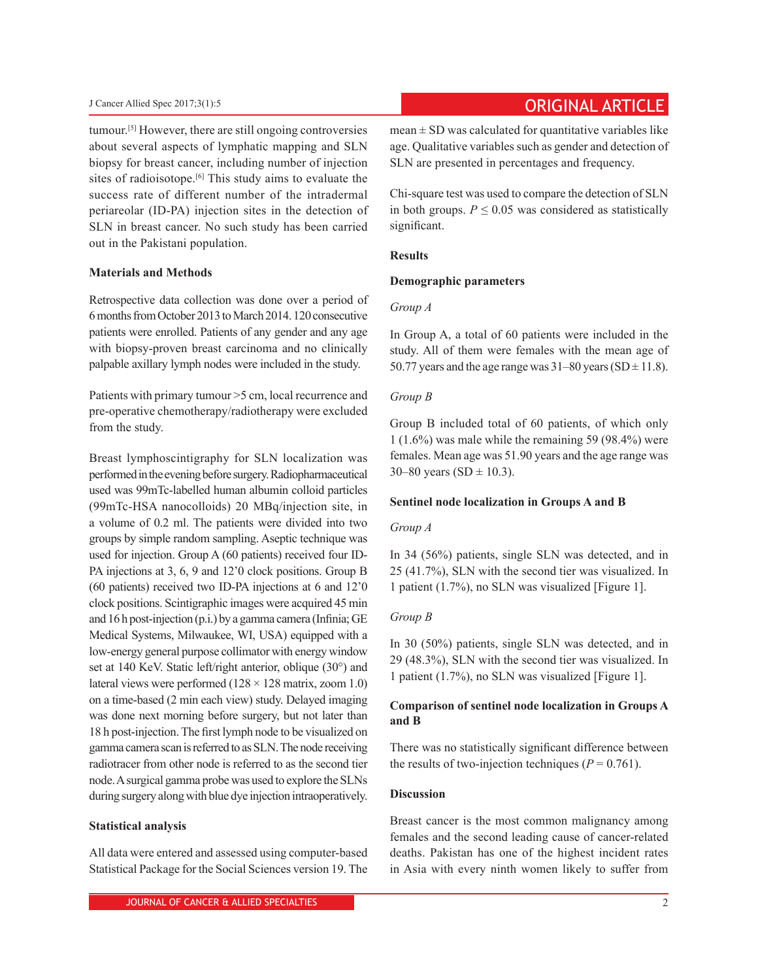tumour.[5] However, there are still ongoing controversies about several aspects of lymphatic mapping and SLN biopsy for breast cancer, including number of injection sites of radioisotope.<sup>[6]</sup> This study aims to evaluate the success rate of different number of the intradermal periareolar (ID-PA) injection sites in the detection of SLN in breast cancer. No such study has been carried out in the Pakistani population.

## **Materials and Methods**

Retrospective data collection was done over a period of 6months from October 2013 to March 2014. 120 consecutive patients were enrolled. Patients of any gender and any age with biopsy-proven breast carcinoma and no clinically palpable axillary lymph nodes were included in the study.

Patients with primary tumour >5 cm, local recurrence and pre-operative chemotherapy/radiotherapy were excluded from the study.

Breast lymphoscintigraphy for SLN localization was performed in the evening before surgery. Radiopharmaceutical used was 99mTc-labelled human albumin colloid particles (99mTc-HSA nanocolloids) 20 MBq/injection site, in a volume of 0.2 ml. The patients were divided into two groups by simple random sampling. Aseptic technique was used for injection. Group A (60 patients) received four ID-PA injections at 3, 6, 9 and 12'0 clock positions. Group B (60 patients) received two ID-PA injections at 6 and 12'0 clock positions. Scintigraphic images were acquired 45 min and 16 h post-injection (p.i.) by a gamma camera (Infinia; GE Medical Systems, Milwaukee, WI, USA) equipped with a low-energy general purpose collimator with energy window set at 140 KeV. Static left/right anterior, oblique (30°) and lateral views were performed  $(128 \times 128 \text{ matrix}, \text{zoom } 1.0)$ on a time-based (2 min each view) study. Delayed imaging was done next morning before surgery, but not later than 18 h post-injection. The first lymph node to be visualized on gamma camera scan is referred to as SLN. The node receiving radiotracer from other node is referred to as the second tier node. Asurgical gamma probe was used to explore the SLNs during surgery along with blue dye injection intraoperatively.

#### **Statistical analysis**

All data were entered and assessed using computer-based Statistical Package for the Social Sciences version 19. The

# **Cancer Allied Spec 2017;3(1):5** Cancer Allied Spec 2017;3(1):5

 $mean \pm SD$  was calculated for quantitative variables like age. Qualitative variables such as gender and detection of SLN are presented in percentages and frequency.

Chi-square test was used to compare the detection of SLN in both groups.  $P \leq 0.05$  was considered as statistically significant.

## **Results**

#### **Demographic parameters**

## *Group A*

In Group A, a total of 60 patients were included in the study. All of them were females with the mean age of 50.77 years and the age range was  $31-80$  years (SD  $\pm$  11.8).

### *Group B*

Group B included total of 60 patients, of which only 1 (1.6%) was male while the remaining 59 (98.4%) were females. Mean age was 51.90 years and the age range was 30–80 years (SD  $\pm$  10.3).

#### **Sentinel node localization in Groups A and B**

#### *Group A*

In 34 (56%) patients, single SLN was detected, and in 25 (41.7%), SLN with the second tier was visualized. In 1 patient (1.7%), no SLN was visualized [Figure 1].

## *Group B*

In 30 (50%) patients, single SLN was detected, and in 29 (48.3%), SLN with the second tier was visualized. In 1 patient (1.7%), no SLN was visualized [Figure 1].

## **Comparison of sentinel node localization in Groups A and B**

There was no statistically significant difference between the results of two-injection techniques  $(P = 0.761)$ .

#### **Discussion**

Breast cancer is the most common malignancy among females and the second leading cause of cancer-related deaths. Pakistan has one of the highest incident rates in Asia with every ninth women likely to suffer from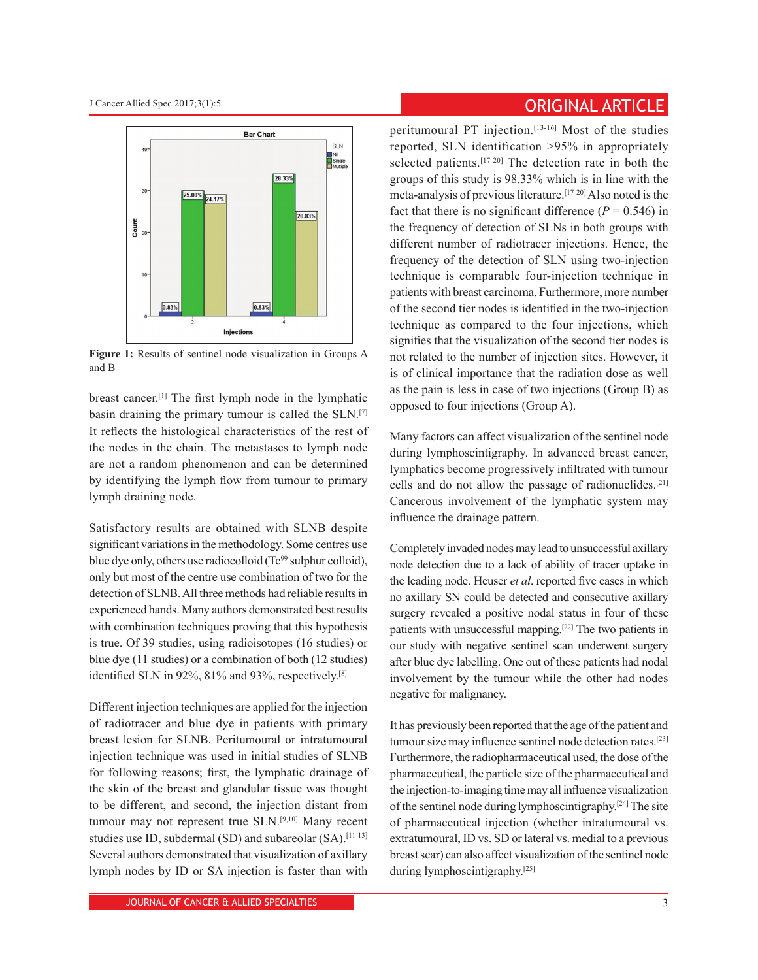

**Figure 1:** Results of sentinel node visualization in Groups A and B

breast cancer.[1] The first lymph node in the lymphatic basin draining the primary tumour is called the SLN.[7] It reflects the histological characteristics of the rest of the nodes in the chain. The metastases to lymph node are not a random phenomenon and can be determined by identifying the lymph flow from tumour to primary lymph draining node.

Satisfactory results are obtained with SLNB despite significant variations in the methodology. Some centres use blue dye only, others use radiocolloid ( $Tc<sup>99</sup>$  sulphur colloid), only but most of the centre use combination of two for the detection of SLNB. All three methods had reliable results in experienced hands. Many authors demonstrated best results with combination techniques proving that this hypothesis is true. Of 39 studies, using radioisotopes (16 studies) or blue dye (11 studies) or a combination of both (12 studies) identified SLN in 92%, 81% and 93%, respectively.<sup>[8]</sup>

Different injection techniques are applied for the injection of radiotracer and blue dye in patients with primary breast lesion for SLNB. Peritumoural or intratumoural injection technique was used in initial studies of SLNB for following reasons; first, the lymphatic drainage of the skin of the breast and glandular tissue was thought to be different, and second, the injection distant from tumour may not represent true SLN.[9,10] Many recent studies use ID, subdermal (SD) and subareolar (SA).<sup>[11-13]</sup> Several authors demonstrated that visualization of axillary lymph nodes by ID or SA injection is faster than with

# **Cancer Allied Spec 2017;3(1):5** Cancer Allied Spec 2017;3(1):5

peritumoural PT injection.[13-16] Most of the studies reported, SLN identification >95% in appropriately selected patients.[17-20] The detection rate in both the groups of this study is 98.33% which is in line with the meta-analysis of previous literature.[17-20] Also noted is the fact that there is no significant difference ( $P = 0.546$ ) in the frequency of detection of SLNs in both groups with different number of radiotracer injections. Hence, the frequency of the detection of SLN using two-injection technique is comparable four-injection technique in patients with breast carcinoma. Furthermore, more number of the second tier nodes is identified in the two-injection technique as compared to the four injections, which signifies that the visualization of the second tier nodes is not related to the number of injection sites. However, it is of clinical importance that the radiation dose as well as the pain is less in case of two injections (Group B) as opposed to four injections (Group A).

Many factors can affect visualization of the sentinel node during lymphoscintigraphy. In advanced breast cancer, lymphatics become progressively infiltrated with tumour cells and do not allow the passage of radionuclides.[21] Cancerous involvement of the lymphatic system may influence the drainage pattern.

Completely invaded nodes may lead to unsuccessful axillary node detection due to a lack of ability of tracer uptake in the leading node. Heuser *et al*. reported five cases in which no axillary SN could be detected and consecutive axillary surgery revealed a positive nodal status in four of these patients with unsuccessful mapping.[22] The two patients in our study with negative sentinel scan underwent surgery after blue dye labelling. One out of these patients had nodal involvement by the tumour while the other had nodes negative for malignancy.

It has previously been reported that the age of the patient and tumour size may influence sentinel node detection rates.[23] Furthermore, the radiopharmaceutical used, the dose of the pharmaceutical, the particle size of the pharmaceutical and the injection-to-imaging time may all influence visualization of the sentinel node during lymphoscintigraphy.[24] The site of pharmaceutical injection (whether intratumoural vs. extratumoural, ID vs. SD or lateral vs. medial to a previous breast scar) can also affect visualization of the sentinel node during lymphoscintigraphy.<sup>[25]</sup>